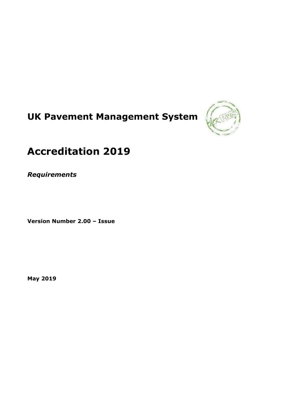# **UK Pavement Management System**



# **Accreditation 2019**

*Requirements*

**Version Number 2.00 – Issue**

**May 2019**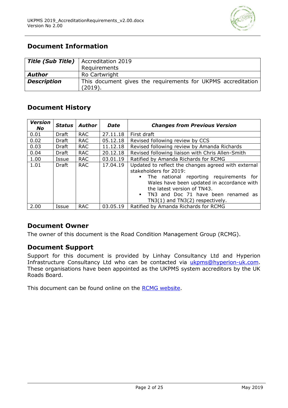

# **Document Information**

|                    | <b>Title (Sub Title)</b>   Accreditation 2019                           |
|--------------------|-------------------------------------------------------------------------|
|                    | Requirements                                                            |
| <b>Author</b>      | Ro Cartwright                                                           |
| <b>Description</b> | This document gives the requirements for UKPMS accreditation<br>(2019). |

# **Document History**

| <b>Version</b><br>No | <b>Status</b> | Author     | Date     | <b>Changes from Previous Version</b>                                                                                                                                                                                                                                                                  |  |
|----------------------|---------------|------------|----------|-------------------------------------------------------------------------------------------------------------------------------------------------------------------------------------------------------------------------------------------------------------------------------------------------------|--|
| 0.01                 | Draft         | <b>RAC</b> | 27.11.18 | First draft                                                                                                                                                                                                                                                                                           |  |
| 0.02                 | Draft         | <b>RAC</b> | 05.12.18 | Revised following review by CCS                                                                                                                                                                                                                                                                       |  |
| 0.03                 | Draft         | <b>RAC</b> | 11.12.18 | Revised following review by Amanda Richards                                                                                                                                                                                                                                                           |  |
| 0.04                 | Draft         | <b>RAC</b> | 20.12.18 | Revised following liaison with Chris Allen-Smith                                                                                                                                                                                                                                                      |  |
| 1.00                 | Issue         | <b>RAC</b> | 03.01.19 | Ratified by Amanda Richards for RCMG                                                                                                                                                                                                                                                                  |  |
| 1.01                 | Draft         | <b>RAC</b> | 17.04.19 | Updated to reflect the changes agreed with external<br>stakeholders for 2019:<br>The national reporting requirements for<br>Wales have been updated in accordance with<br>the latest version of TN43.<br>TN3 and Doc 71 have been renamed as<br>$\blacksquare$<br>$TN3(1)$ and $TN3(2)$ respectively. |  |
| 2.00                 | Issue         | <b>RAC</b> | 03.05.19 | Ratified by Amanda Richards for RCMG                                                                                                                                                                                                                                                                  |  |

# **Document Owner**

The owner of this document is the Road Condition Management Group (RCMG).

# **Document Support**

Support for this document is provided by Linhay Consultancy Ltd and Hyperion Infrastructure Consultancy Ltd who can be contacted via [ukpms@hyperion-uk.com.](mailto:ukpms@hyperion-uk.com) These organisations have been appointed as the UKPMS system accreditors by the UK Roads Board.

This document can be found online on the [RCMG website.](http://www.ukroadsliaisongroup.org/en/asset-condition/road-condition-information/data-management/uk-pavement-management-system-ukpms/ukpms-annual-health-check/index.cfm)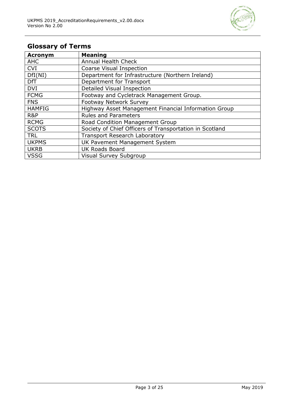

# **Glossary of Terms**

| <b>Acronym</b> | <b>Meaning</b>                                          |
|----------------|---------------------------------------------------------|
| <b>AHC</b>     | <b>Annual Health Check</b>                              |
| <b>CVI</b>     | Coarse Visual Inspection                                |
| DfI(NI)        | Department for Infrastructure (Northern Ireland)        |
| <b>DfT</b>     | Department for Transport                                |
| <b>DVI</b>     | Detailed Visual Inspection                              |
| <b>FCMG</b>    | Footway and Cycletrack Management Group.                |
| <b>FNS</b>     | Footway Network Survey                                  |
| <b>HAMFIG</b>  | Highway Asset Management Financial Information Group    |
| R&P            | <b>Rules and Parameters</b>                             |
| <b>RCMG</b>    | Road Condition Management Group                         |
| <b>SCOTS</b>   | Society of Chief Officers of Transportation in Scotland |
| <b>TRL</b>     | <b>Transport Research Laboratory</b>                    |
| <b>UKPMS</b>   | UK Pavement Management System                           |
| <b>UKRB</b>    | <b>UK Roads Board</b>                                   |
| <b>VSSG</b>    | <b>Visual Survey Subgroup</b>                           |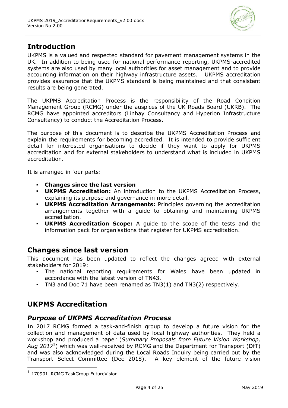

# **Introduction**

UKPMS is a valued and respected standard for pavement management systems in the UK. In addition to being used for national performance reporting, UKPMS-accredited systems are also used by many local authorities for asset management and to provide accounting information on their highway infrastructure assets. UKPMS accreditation provides assurance that the UKPMS standard is being maintained and that consistent results are being generated.

The UKPMS Accreditation Process is the responsibility of the Road Condition Management Group (RCMG) under the auspices of the UK Roads Board (UKRB). The RCMG have appointed accreditors (Linhay Consultancy and Hyperion Infrastructure Consultancy) to conduct the Accreditation Process.

The purpose of this document is to describe the UKPMS Accreditation Process and explain the requirements for becoming accredited. It is intended to provide sufficient detail for interested organisations to decide if they want to apply for UKPMS accreditation and for external stakeholders to understand what is included in UKPMS accreditation.

It is arranged in four parts:

- **Changes since the last version**
- **UKPMS Accreditation:** An introduction to the UKPMS Accreditation Process, explaining its purpose and governance in more detail.
- **UKPMS Accreditation Arrangements:** Principles governing the accreditation arrangements together with a guide to obtaining and maintaining UKPMS accreditation.
- **UKPMS Accreditation Scope:** A guide to the scope of the tests and the information pack for organisations that register for UKPMS accreditation.

# **Changes since last version**

This document has been updated to reflect the changes agreed with external stakeholders for 2019:

- The national reporting requirements for Wales have been updated in accordance with the latest version of TN43.
- TN3 and Doc 71 have been renamed as TN3(1) and TN3(2) respectively.

# **UKPMS Accreditation**

# *Purpose of UKPMS Accreditation Process*

In 2017 RCMG formed a task-and-finish group to develop a future vision for the collection and management of data used by local highway authorities. They held a workshop and produced a paper (*Summary Proposals from Future Vision Workshop, Aug 2017*<sup>1</sup> ) which was well-received by RCMG and the Department for Transport (DfT) and was also acknowledged during the Local Roads Inquiry being carried out by the Transport Select Committee (Dec 2018). A key element of the future vision

-

<sup>1</sup> 170901 RCMG TaskGroup FutureVision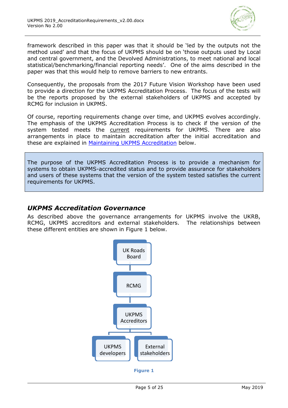

framework described in this paper was that it should be 'led by the outputs not the method used' and that the focus of UKPMS should be on 'those outputs used by Local and central government, and the Devolved Administrations, to meet national and local statistical/benchmarking/financial reporting needs'. One of the aims described in the paper was that this would help to remove barriers to new entrants.

Consequently, the proposals from the 2017 Future Vision Workshop have been used to provide a direction for the UKPMS Accreditation Process. The focus of the tests will be the reports proposed by the external stakeholders of UKPMS and accepted by RCMG for inclusion in UKPMS.

Of course, reporting requirements change over time, and UKPMS evolves accordingly. The emphasis of the UKPMS Accreditation Process is to check if the version of the system tested meets the current requirements for UKPMS. There are also arrangements in place to maintain accreditation after the initial accreditation and these are explained in [Maintaining UKPMS Accreditation](#page-10-0) below.

The purpose of the UKPMS Accreditation Process is to provide a mechanism for systems to obtain UKPMS-accredited status and to provide assurance for stakeholders and users of these systems that the version of the system tested satisfies the current requirements for UKPMS.

# *UKPMS Accreditation Governance*

As described above the governance arrangements for UKPMS involve the UKRB, RCMG, UKPMS accreditors and external stakeholders. The relationships between these different entities are shown in [Figure 1](#page-4-0) below.



<span id="page-4-0"></span>**Figure 1**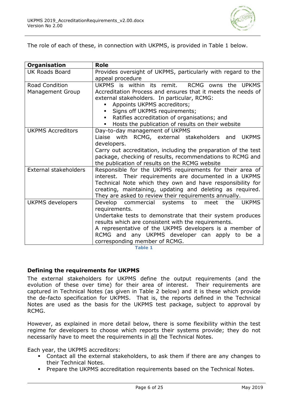

The role of each of these, in connection with UKPMS, is provided in [Table 1](#page-5-0) below.

| <b>Organisation</b>                              | <b>Role</b>                                                                                                                                                                                                                                                                                                                                     |
|--------------------------------------------------|-------------------------------------------------------------------------------------------------------------------------------------------------------------------------------------------------------------------------------------------------------------------------------------------------------------------------------------------------|
| <b>UK Roads Board</b>                            | Provides oversight of UKPMS, particularly with regard to the<br>appeal procedure                                                                                                                                                                                                                                                                |
| <b>Road Condition</b><br><b>Management Group</b> | UKPMS is within its remit.<br>RCMG owns the UPKMS<br>Accreditation Process and ensures that it meets the needs of<br>external stakeholders. In particular, RCMG:<br>Appoints UKPMS accreditors;<br>Signs off UKPMS requirements;<br>Ratifies accreditation of organisations; and<br>Hosts the publication of results on their website<br>٠      |
| <b>UKPMS Accreditors</b>                         | Day-to-day management of UKPMS<br>Liaise with RCMG, external stakeholders<br><b>UKPMS</b><br>and<br>developers.<br>Carry out accreditation, including the preparation of the test<br>package, checking of results, recommendations to RCMG and<br>the publication of results on the RCMG website                                                |
| External stakeholders                            | Responsible for the UKPMS requirements for their area of<br>interest. Their requirements are documented in a UKPMS<br>Technical Note which they own and have responsibility for<br>creating, maintaining, updating and deleting as required.<br>They are asked to review their requirements annually.                                           |
| <b>UKPMS</b> developers                          | Develop commercial systems to<br>the<br>meet<br><b>UKPMS</b><br>requirements.<br>Undertake tests to demonstrate that their system produces<br>results which are consistent with the requirements.<br>A representative of the UKPMS developers is a member of<br>RCMG and any UKPMS developer can apply to be a<br>corresponding member of RCMG. |

**Table 1**

### <span id="page-5-0"></span>**Defining the requirements for UKPMS**

The external stakeholders for UKPMS define the output requirements (and the evolution of these over time) for their area of interest. Their requirements are captured in Technical Notes (as given in [Table 2](#page-6-0) below) and it is these which provide the de-facto specification for UKPMS. That is, the reports defined in the Technical Notes are used as the basis for the UKPMS test package, subject to approval by RCMG.

However, as explained in more detail below, there is some flexibility within the test regime for developers to choose which reports their systems provide; they do not necessarily have to meet the requirements in all the Technical Notes.

Each year, the UKPMS accreditors:

- Contact all the external stakeholders, to ask them if there are any changes to their Technical Notes.
- **Prepare the UKPMS accreditation requirements based on the Technical Notes.**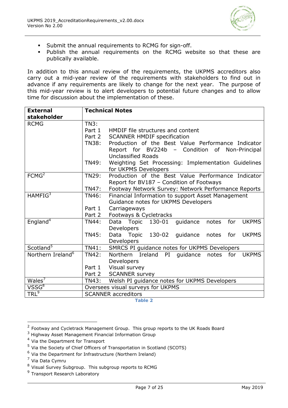

- **Submit the annual requirements to RCMG for sign-off.**
- Publish the annual requirements on the RCMG website so that these are publically available.

In addition to this annual review of the requirements, the UKPMS accreditors also carry out a mid-year review of the requirements with stakeholders to find out in advance if any requirements are likely to change for the next year. The purpose of this mid-year review is to alert developers to potential future changes and to allow time for discussion about the implementation of these.

| <b>External</b>               | <b>Technical Notes</b> |                                                                 |  |
|-------------------------------|------------------------|-----------------------------------------------------------------|--|
| stakeholder                   |                        |                                                                 |  |
| <b>RCMG</b>                   | <b>TN3:</b>            |                                                                 |  |
|                               | Part 1                 | HMDIF file structures and content                               |  |
|                               | Part 2                 | <b>SCANNER HMDIF specification</b>                              |  |
|                               | <b>TN38:</b>           | Production of the Best Value Performance Indicator              |  |
|                               |                        | Report for BV224b - Condition of Non-Principal                  |  |
|                               |                        | <b>Unclassified Roads</b>                                       |  |
|                               | TN49:                  | Weighting Set Processing: Implementation Guidelines             |  |
|                               |                        | for UKPMS Developers                                            |  |
| FCMG <sup>2</sup>             | <b>TN29:</b>           | Production of the Best Value Performance Indicator              |  |
|                               |                        | Report for BV187 - Condition of Footways                        |  |
|                               | TN47:                  | Footway Network Survey: Network Performance Reports             |  |
| HAMFIG <sup>3</sup>           | TN46:                  | Financial Information to support Asset Management               |  |
|                               |                        | Guidance notes for UKPMS Developers                             |  |
|                               | Part 1                 | Carriageways                                                    |  |
|                               | Part 2                 | Footways & Cycletracks                                          |  |
| England <sup>4</sup>          | <b>TN44:</b>           | Data Topic 130-01<br>guidance<br>for<br><b>UKPMS</b><br>notes   |  |
|                               |                        | Developers                                                      |  |
|                               | <b>TN45:</b>           | Data Topic 130-02 guidance<br>for<br><b>UKPMS</b><br>notes      |  |
|                               |                        | Developers                                                      |  |
| Scotland <sup>5</sup>         | <b>TN41:</b>           | SMRCS PI guidance notes for UKPMS Developers                    |  |
| Northern Ireland <sup>6</sup> | <b>TN42:</b>           | Northern Ireland PI<br>guidance<br>notes<br>for<br><b>UKPMS</b> |  |
|                               |                        | Developers                                                      |  |
|                               | Part 1                 | Visual survey                                                   |  |
|                               | Part 2                 | <b>SCANNER survey</b>                                           |  |
| Wales <sup>7</sup>            | <b>TN43:</b>           | Welsh PI guidance notes for UKPMS Developers                    |  |
| VSSG <sup>8</sup>             |                        | Oversees visual surveys for UKPMS                               |  |
| $TRL^9$                       |                        | <b>SCANNER accreditors</b>                                      |  |

**Table 2**

<sup>4</sup> Via the Department for Transport

<span id="page-6-0"></span> 2 Footway and Cycletrack Management Group. This group reports to the UK Roads Board

<sup>3</sup> Highway Asset Management Financial Information Group

<sup>&</sup>lt;sup>5</sup> Via the Society of Chief Officers of Transportation in Scotland (SCOTS)

<sup>&</sup>lt;sup>6</sup> Via the Department for Infrastructure (Northern Ireland)

<sup>7</sup> Via Data Cymru

<sup>&</sup>lt;sup>8</sup> Visual Survey Subgroup. This subgroup reports to RCMG

<sup>&</sup>lt;sup>9</sup> Transport Research Laboratory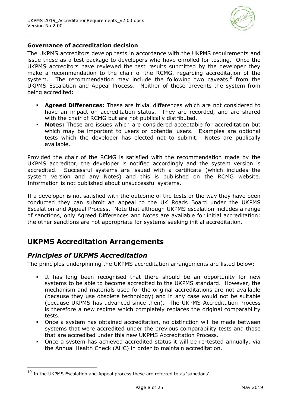

### **Governance of accreditation decision**

The UKPMS accreditors develop tests in accordance with the UKPMS requirements and issue these as a test package to developers who have enrolled for testing. Once the UKPMS accreditors have reviewed the test results submitted by the developer they make a recommendation to the chair of the RCMG, regarding accreditation of the system. The recommendation may include the following two caveats<sup>10</sup> from the UKPMS Escalation and Appeal Process. Neither of these prevents the system from being accredited:

- **Agreed Differences:** These are trivial differences which are not considered to have an impact on accreditation status. They are recorded, and are shared with the chair of RCMG but are not publically distributed.
- **Notes:** These are issues which are considered acceptable for accreditation but which may be important to users or potential users. Examples are optional tests which the developer has elected not to submit. Notes are publically available.

Provided the chair of the RCMG is satisfied with the recommendation made by the UKPMS accreditor, the developer is notified accordingly and the system version is accredited. Successful systems are issued with a certificate (which includes the system version and any Notes) and this is published on the RCMG website. Information is not published about unsuccessful systems.

If a developer is not satisfied with the outcome of the tests or the way they have been conducted they can submit an appeal to the UK Roads Board under the UKPMS Escalation and Appeal Process. Note that although UKPMS escalation includes a range of sanctions, only Agreed Differences and Notes are available for initial accreditation; the other sanctions are not appropriate for systems seeking initial accreditation.

# **UKPMS Accreditation Arrangements**

# *Principles of UKPMS Accreditation*

-

The principles underpinning the UKPMS accreditation arrangements are listed below:

- It has long been recognised that there should be an opportunity for new systems to be able to become accredited to the UKPMS standard. However, the mechanism and materials used for the original accreditations are not available (because they use obsolete technology) and in any case would not be suitable (because UKPMS has advanced since then). The UKPMS Accreditation Process is therefore a new regime which completely replaces the original comparability tests.
- Once a system has obtained accreditation, no distinction will be made between systems that were accredited under the previous comparability tests and those that are accredited under this new UKPMS Accreditation Process.
- Once a system has achieved accredited status it will be re-tested annually, via the Annual Health Check (AHC) in order to maintain accreditation.

 $10$  In the UKPMS Escalation and Appeal process these are referred to as 'sanctions'.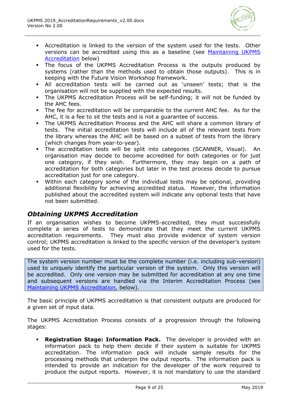

- Accreditation is linked to the version of the system used for the tests. Other versions can be accredited using this as a baseline (see [Maintaining UKPMS](#page-10-0)  [Accreditation](#page-10-0) below)
- The focus of the UKPMS Accreditation Process is the outputs produced by systems (rather than the methods used to obtain those outputs). This is in keeping with the Future Vision Workshop framework.
- All accreditation tests will be carried out as 'unseen' tests; that is the organisation will not be supplied with the expected results.
- The UKPMS Accreditation Process will be self-funding; it will not be funded by the AHC fees.
- The fee for accreditation will be comparable to the current AHC fee. As for the AHC, it is a fee to sit the tests and is not a guarantee of success.
- The UKPMS Accreditation Process and the AHC will share a common library of tests. The initial accreditation tests will include all of the relevant tests from the library whereas the AHC will be based on a subset of tests from the library (which changes from year-to-year).
- The accreditation tests will be split into categories (SCANNER, Visual). An organisation may decide to become accredited for both categories or for just one category, if they wish. Furthermore, they may begin on a path of accreditation for both categories but later in the test process decide to pursue accreditation just for one category.
- Within each category some of the individual tests may be optional, providing additional flexibility for achieving accredited status. However, the information published about the accredited system will indicate any optional tests that have not been submitted.

# *Obtaining UKPMS Accreditation*

If an organisation wishes to become UKPMS-accredited, they must successfully complete a series of tests to demonstrate that they meet the current UKPMS accreditation requirements. They must also provide evidence of system version control; UKPMS accreditation is linked to the specific version of the developer's system used for the tests.

The system version number must be the complete number (i.e. including sub-version) used to uniquely identify the particular version of the system. Only this version will be accredited. Only one version may be submitted for accreditation at any one time and subsequent versions are handled via the Interim Accreditation Process (see [Maintaining UKPMS Accreditation,](#page-10-0) below).

The basic principle of UKPMS accreditation is that consistent outputs are produced for a given set of input data.

The UKPMS Accreditation Process consists of a progression through the following stages:

 **Registration Stage: Information Pack.** The developer is provided with an information pack to help them decide if their system is suitable for UKPMS accreditation. The information pack will include sample results for the processing methods that underpin the output reports. The information pack is intended to provide an indication for the developer of the work required to produce the output reports. However, it is not mandatory to use the standard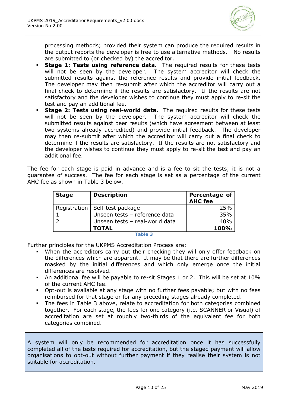

processing methods; provided their system can produce the required results in the output reports the developer is free to use alternative methods. No results are submitted to (or checked by) the accreditor.

- **Stage 1: Tests using reference data.** The required results for these tests will not be seen by the developer. The system accreditor will check the submitted results against the reference results and provide initial feedback. The developer may then re-submit after which the accreditor will carry out a final check to determine if the results are satisfactory. If the results are not satisfactory and the developer wishes to continue they must apply to re-sit the test and pay an additional fee.
- **Stage 2: Tests using real-world data.** The required results for these tests will not be seen by the developer. The system accreditor will check the submitted results against peer results (which have agreement between at least two systems already accredited) and provide initial feedback. The developer may then re-submit after which the accreditor will carry out a final check to determine if the results are satisfactory. If the results are not satisfactory and the developer wishes to continue they must apply to re-sit the test and pay an additional fee.

The fee for each stage is paid in advance and is a fee to sit the tests; it is not a guarantee of success. The fee for each stage is set as a percentage of the current AHC fee as shown in [Table 3](#page-9-0) below.

| <b>Stage</b> | <b>Description</b>               | <b>Percentage of</b><br><b>AHC</b> fee |
|--------------|----------------------------------|----------------------------------------|
|              | Registration   Self-test package | 25%                                    |
|              | Unseen tests - reference data    | 35%                                    |
|              | Unseen tests - real-world data   | 40%                                    |
|              | <b>TOTAL</b>                     | 100%                                   |

**Table 3**

<span id="page-9-0"></span>Further principles for the UKPMS Accreditation Process are:

- When the accreditors carry out their checking they will only offer feedback on the differences which are apparent. It may be that there are further differences masked by the initial differences and which only emerge once the initial differences are resolved.
- An additional fee will be payable to re-sit Stages 1 or 2. This will be set at 10% of the current AHC fee.
- Opt-out is available at any stage with no further fees payable; but with no fees reimbursed for that stage or for any preceding stages already completed.
- The fees in [Table 3](#page-9-0) above, relate to accreditation for both categories combined together. For each stage, the fees for one category (i.e. SCANNER or Visual) of accreditation are set at roughly two-thirds of the equivalent fee for both categories combined.

A system will only be recommended for accreditation once it has successfully completed all of the tests required for accreditation, but the staged payment will allow organisations to opt-out without further payment if they realise their system is not suitable for accreditation.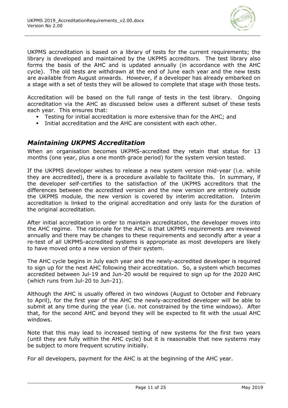

UKPMS accreditation is based on a library of tests for the current requirements; the library is developed and maintained by the UKPMS accreditors. The test library also forms the basis of the AHC and is updated annually (in accordance with the AHC cycle). The old tests are withdrawn at the end of June each year and the new tests are available from August onwards. However, if a developer has already embarked on a stage with a set of tests they will be allowed to complete that stage with those tests.

Accreditation will be based on the full range of tests in the test library. Ongoing accreditation via the AHC as discussed below uses a different subset of these tests each year. This ensures that:

- Testing for initial accreditation is more extensive than for the AHC; and
- Initial accreditation and the AHC are consistent with each other.

# <span id="page-10-0"></span>*Maintaining UKPMS Accreditation*

When an organisation becomes UKPMS-accredited they retain that status for 13 months (one year, plus a one month grace period) for the system version tested.

If the UKPMS developer wishes to release a new system version mid-year (i.e. while they are accredited), there is a procedure available to facilitate this. In summary, if the developer self-certifies to the satisfaction of the UKPMS accreditors that the differences between the accredited version and the new version are entirely outside the UKPMS module, the new version is covered by interim accreditation. Interim accreditation is linked to the original accreditation and only lasts for the duration of the original accreditation.

After initial accreditation in order to maintain accreditation, the developer moves into the AHC regime. The rationale for the AHC is that UKPMS requirements are reviewed annually and there may be changes to these requirements and secondly after a year a re-test of all UKPMS-accredited systems is appropriate as most developers are likely to have moved onto a new version of their system.

The AHC cycle begins in July each year and the newly-accredited developer is required to sign up for the next AHC following their accreditation. So, a system which becomes accredited between Jul-19 and Jun-20 would be required to sign up for the 2020 AHC (which runs from Jul-20 to Jun-21).

Although the AHC is usually offered in two windows (August to October and February to April), for the first year of the AHC the newly-accredited developer will be able to submit at any time during the year (i.e. not constrained by the time windows). After that, for the second AHC and beyond they will be expected to fit with the usual AHC windows.

Note that this may lead to increased testing of new systems for the first two years (until they are fully within the AHC cycle) but it is reasonable that new systems may be subject to more frequent scrutiny initially.

For all developers, payment for the AHC is at the beginning of the AHC year.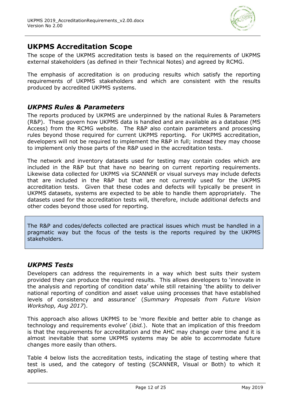

# **UKPMS Accreditation Scope**

The scope of the UKPMS accreditation tests is based on the requirements of UKPMS external stakeholders (as defined in their Technical Notes) and agreed by RCMG.

The emphasis of accreditation is on producing results which satisfy the reporting requirements of UKPMS stakeholders and which are consistent with the results produced by accredited UKPMS systems.

# *UKPMS Rules & Parameters*

The reports produced by UKPMS are underpinned by the national Rules & Parameters (R&P). These govern how UKPMS data is handled and are available as a database (MS Access) from the RCMG website. The R&P also contain parameters and processing rules beyond those required for current UKPMS reporting. For UKPMS accreditation, developers will not be required to implement the R&P in full; instead they may choose to implement only those parts of the R&P used in the accreditation tests.

The network and inventory datasets used for testing may contain codes which are included in the R&P but that have no bearing on current reporting requirements. Likewise data collected for UKPMS via SCANNER or visual surveys may include defects that are included in the R&P but that are not currently used for the UKPMS accreditation tests. Given that these codes and defects will typically be present in UKPMS datasets, systems are expected to be able to handle them appropriately. The datasets used for the accreditation tests will, therefore, include additional defects and other codes beyond those used for reporting.

The R&P and codes/defects collected are practical issues which must be handled in a pragmatic way but the focus of the tests is the reports required by the UKPMS stakeholders.

### *UKPMS Tests*

Developers can address the requirements in a way which best suits their system provided they can produce the required results. This allows developers to 'innovate in the analysis and reporting of condition data' while still retaining 'the ability to deliver national reporting of condition and asset value using processes that have established levels of consistency and assurance' (*Summary Proposals from Future Vision Workshop, Aug 2017*).

This approach also allows UKPMS to be 'more flexible and better able to change as technology and requirements evolve' (*ibid.*). Note that an implication of this freedom is that the requirements for accreditation and the AHC may change over time and it is almost inevitable that some UKPMS systems may be able to accommodate future changes more easily than others.

[Table 4](#page-12-0) below lists the accreditation tests, indicating the stage of testing where that test is used, and the category of testing (SCANNER, Visual or Both) to which it applies.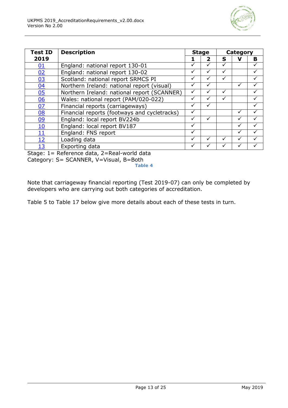

| Test ID    | <b>Description</b>                           |   | <b>Stage</b> |              | Category |   |
|------------|----------------------------------------------|---|--------------|--------------|----------|---|
| 2019       |                                              |   | $\mathbf{2}$ | S            | V        | B |
| <u>01</u>  | England: national report 130-01              | ✓ | ✓            | ✓            |          |   |
| 02         | England: national report 130-02              |   | ✓            |              |          |   |
| <u>03</u>  | Scotland: national report SRMCS PI           | ✓ | ✓            | ✓            |          |   |
| 04         | Northern Ireland: national report (visual)   |   |              |              |          |   |
| 05         | Northern Ireland: national report (SCANNER)  |   | $\checkmark$ | $\checkmark$ |          |   |
| 06         | Wales: national report (PAM/020-022)         |   |              |              |          |   |
| 07         | Financial reports (carriageways)             | ✓ | ✓            |              |          | ✓ |
| <u>08</u>  | Financial reports (footways and cycletracks) |   |              |              |          |   |
| <u>09</u>  | England: local report BV224b                 | √ |              |              |          |   |
| <u> 10</u> | England: local report BV187                  | ✓ |              |              |          |   |
| <u> 11</u> | England: FNS report                          | ✓ |              |              |          |   |
| <u> 12</u> | Loading data                                 | ✓ |              |              |          |   |
| 13         | Exporting data                               |   |              |              |          |   |

<span id="page-12-0"></span>Stage: 1= Reference data, 2=Real-world data Category: S= SCANNER, V=Visual, B=Both

**Table 4**

Note that carriageway financial reporting (Test 2019-07) can only be completed by developers who are carrying out both categories of accreditation.

[Table 5](#page-13-2) to [Table 17](#page-23-1) below give more details about each of these tests in turn.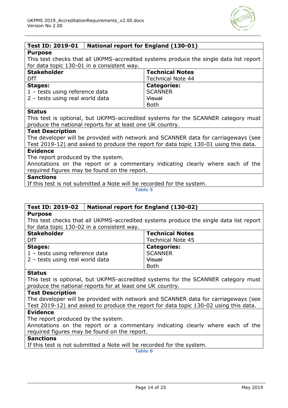

### <span id="page-13-0"></span>**Test ID: 2019-01 National report for England (130-01)**

#### **Purpose**

This test checks that all UKPMS-accredited systems produce the single data list report for data topic 130-01 in a consistent way.

| <b>Stakeholder</b>                      | <b>Technical Notes</b>   |
|-----------------------------------------|--------------------------|
| DfT                                     | <b>Technical Note 44</b> |
| <b>Stages:</b>                          | <b>Categories:</b>       |
| $1 - \text{tests using reference data}$ | <b>SCANNER</b>           |
| 2 - tests using real world data         | Visual                   |
|                                         | <b>Both</b>              |

#### **Status**

This test is optional, but UKPMS-accredited systems for the SCANNER category must produce the national reports for at least one UK country.

#### **Test Description**

The developer will be provided with network and SCANNER data for carriageways (see Test 2019-12) and asked to produce the report for data topic 130-01 using this data.

#### **Evidence**

The report produced by the system.

Annotations on the report or a commentary indicating clearly where each of the required figures may be found on the report.

#### **Sanctions**

<span id="page-13-2"></span>If this test is not submitted a Note will be recorded for the system.

**Table 5**

#### <span id="page-13-1"></span>**Test ID: 2019-02 National report for England (130-02)**

#### **Purpose**

This test checks that all UKPMS-accredited systems produce the single data list report for data topic 130-02 in a consistent way.

| <b>Stakeholder</b>                      | <b>Technical Notes</b>   |
|-----------------------------------------|--------------------------|
| DfT                                     | <b>Technical Note 45</b> |
| <b>Stages:</b>                          | <b>Categories:</b>       |
| $1 - \text{tests using reference data}$ | <b>SCANNER</b>           |
| 2 - tests using real world data         | Visual                   |
|                                         | <b>Both</b>              |

#### **Status**

This test is optional, but UKPMS-accredited systems for the SCANNER category must produce the national reports for at least one UK country.

#### **Test Description**

The developer will be provided with network and SCANNER data for carriageways (see Test 2019-12) and asked to produce the report for data topic 130-02 using this data.

#### **Evidence**

The report produced by the system.

Annotations on the report or a commentary indicating clearly where each of the required figures may be found on the report.

#### **Sanctions**

If this test is not submitted a Note will be recorded for the system.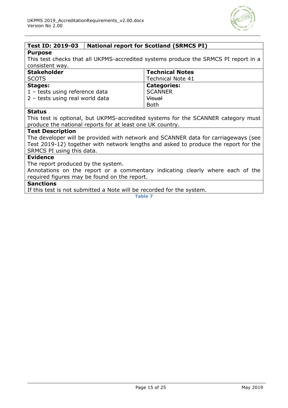

### <span id="page-14-0"></span>**Test ID: 2019-03 National report for Scotland (SRMCS PI)**

#### **Purpose**

This test checks that all UKPMS-accredited systems produce the SRMCS PI report in a consistent way.

| <b>Stakeholder</b>                      | <b>Technical Notes</b>   |
|-----------------------------------------|--------------------------|
| <b>SCOTS</b>                            | <b>Technical Note 41</b> |
| Stages:                                 | <b>Categories:</b>       |
| $1 - \text{tests using reference data}$ | <b>SCANNER</b>           |
| 2 - tests using real world data         | Visual                   |
|                                         | <b>Both</b>              |

#### **Status**

This test is optional, but UKPMS-accredited systems for the SCANNER category must produce the national reports for at least one UK country.

#### **Test Description**

The developer will be provided with network and SCANNER data for carriageways (see Test 2019-12) together with network lengths and asked to produce the report for the SRMCS PI using this data.

#### **Evidence**

The report produced by the system.

Annotations on the report or a commentary indicating clearly where each of the required figures may be found on the report.

#### **Sanctions**

If this test is not submitted a Note will be recorded for the system.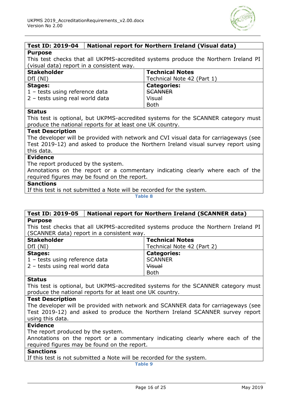

# <span id="page-15-0"></span>**Test ID: 2019-04 National report for Northern Ireland (Visual data)**

**Purpose**

This test checks that all UKPMS-accredited systems produce the Northern Ireland PI (visual data) report in a consistent way.

| <b>Stakeholder</b>              | <b>Technical Notes</b>     |
|---------------------------------|----------------------------|
| DfI(NI)                         | Technical Note 42 (Part 1) |
| <b>Stages:</b>                  | <b>Categories:</b>         |
| 1 - tests using reference data  | <b>SCANNER</b>             |
| 2 - tests using real world data | Visual                     |
|                                 | <b>Both</b>                |

#### **Status**

This test is optional, but UKPMS-accredited systems for the SCANNER category must produce the national reports for at least one UK country.

#### **Test Description**

The developer will be provided with network and CVI visual data for carriageways (see Test 2019-12) and asked to produce the Northern Ireland visual survey report using this data.

#### **Evidence**

The report produced by the system.

Annotations on the report or a commentary indicating clearly where each of the required figures may be found on the report.

#### **Sanctions**

If this test is not submitted a Note will be recorded for the system.

**Table 8**

#### <span id="page-15-1"></span>**Test ID: 2019-05 National report for Northern Ireland (SCANNER data) Purpose**

This test checks that all UKPMS-accredited systems produce the Northern Ireland PI (SCANNER data) report in a consistent way.

| <b>Stakeholder</b>              | <b>Technical Notes</b>     |
|---------------------------------|----------------------------|
| DfI(NI)                         | Technical Note 42 (Part 2) |
| <b>Stages:</b>                  | <b>Categories:</b>         |
| 1 - tests using reference data  | <b>SCANNER</b>             |
| 2 - tests using real world data | Visual                     |
|                                 | <b>Both</b>                |

#### **Status**

This test is optional, but UKPMS-accredited systems for the SCANNER category must produce the national reports for at least one UK country.

#### **Test Description**

The developer will be provided with network and SCANNER data for carriageways (see Test 2019-12) and asked to produce the Northern Ireland SCANNER survey report using this data.

#### **Evidence**

The report produced by the system.

Annotations on the report or a commentary indicating clearly where each of the required figures may be found on the report.

#### **Sanctions**

If this test is not submitted a Note will be recorded for the system.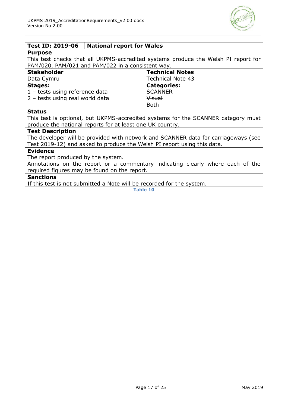

### <span id="page-16-0"></span>**Test ID: 2019-06 National report for Wales**

#### **Purpose**

This test checks that all UKPMS-accredited systems produce the Welsh PI report for PAM/020, PAM/021 and PAM/022 in a consistent way.

| <b>Stakeholder</b>              | <b>Technical Notes</b>   |
|---------------------------------|--------------------------|
| Data Cymru                      | <b>Technical Note 43</b> |
| Stages:                         | <b>Categories:</b>       |
| 1 - tests using reference data  | <b>SCANNER</b>           |
| 2 - tests using real world data | Visual                   |
|                                 | <b>Both</b>              |

#### **Status**

This test is optional, but UKPMS-accredited systems for the SCANNER category must produce the national reports for at least one UK country.

#### **Test Description**

The developer will be provided with network and SCANNER data for carriageways (see Test 2019-12) and asked to produce the Welsh PI report using this data.

#### **Evidence**

The report produced by the system.

Annotations on the report or a commentary indicating clearly where each of the required figures may be found on the report.

#### **Sanctions**

If this test is not submitted a Note will be recorded for the system.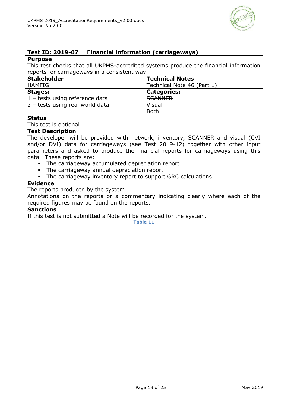

### <span id="page-17-0"></span>**Test ID: 2019-07 Financial information (carriageways)**

#### **Purpose**

This test checks that all UKPMS-accredited systems produce the financial information reports for carriageways in a consistent way.

| <b>Stakeholder</b>                      | <b>Technical Notes</b>     |
|-----------------------------------------|----------------------------|
| <b>HAMFIG</b>                           | Technical Note 46 (Part 1) |
| <b>Stages:</b>                          | <b>Categories:</b>         |
| $1 - \text{tests using reference data}$ | <b>SCANNER</b>             |
| 2 - tests using real world data         | Visual                     |
|                                         | <b>Both</b>                |

#### **Status**

This test is optional.

### **Test Description**

The developer will be provided with network, inventory, SCANNER and visual (CVI and/or DVI) data for carriageways (see Test 2019-12) together with other input parameters and asked to produce the financial reports for carriageways using this data. These reports are:

- The carriageway accumulated depreciation report
- The carriageway annual depreciation report
- The carriageway inventory report to support GRC calculations

#### **Evidence**

The reports produced by the system.

Annotations on the reports or a commentary indicating clearly where each of the required figures may be found on the reports.

### **Sanctions**

If this test is not submitted a Note will be recorded for the system.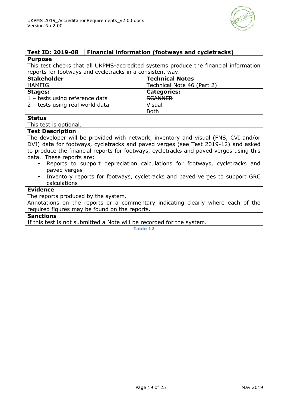

# <span id="page-18-0"></span>**Test ID: 2019-08 Financial information (footways and cycletracks)**

#### **Purpose**

This test checks that all UKPMS-accredited systems produce the financial information reports for footways and cycletracks in a consistent way.

| <b>Stakeholder</b>              | <b>Technical Notes</b>     |
|---------------------------------|----------------------------|
| <b>HAMFIG</b>                   | Technical Note 46 (Part 2) |
| <b>Stages:</b>                  | <b>Categories:</b>         |
| 1 - tests using reference data  | <b>SCANNER</b>             |
| 2 - tests using real world data | Visual                     |
|                                 | <b>Both</b>                |

#### **Status**

This test is optional.

#### **Test Description**

The developer will be provided with network, inventory and visual (FNS, CVI and/or DVI) data for footways, cycletracks and paved verges (see Test 2019-12) and asked to produce the financial reports for footways, cycletracks and paved verges using this data. These reports are:

- Reports to support depreciation calculations for footways, cycletracks and paved verges
- Inventory reports for footways, cycletracks and paved verges to support GRC calculations

#### **Evidence**

The reports produced by the system.

Annotations on the reports or a commentary indicating clearly where each of the required figures may be found on the reports.

### **Sanctions**

If this test is not submitted a Note will be recorded for the system.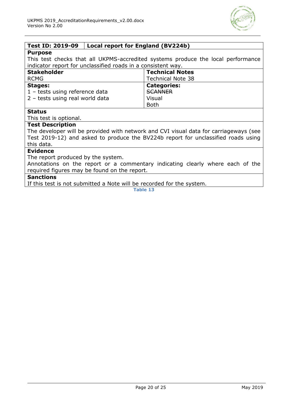

### <span id="page-19-0"></span>**Test ID: 2019-09 Local report for England (BV224b)**

#### **Purpose**

This test checks that all UKPMS-accredited systems produce the local performance indicator report for unclassified roads in a consistent way.

| <b>Stakeholder</b>              | <b>Technical Notes</b>   |
|---------------------------------|--------------------------|
| <b>RCMG</b>                     | <b>Technical Note 38</b> |
| <b>Stages:</b>                  | <b>Categories:</b>       |
| 1 - tests using reference data  | <b>SCANNER</b>           |
| 2 - tests using real world data | Visual                   |
|                                 | <b>Both</b>              |

### **Status**

This test is optional.

### **Test Description**

The developer will be provided with network and CVI visual data for carriageways (see Test 2019-12) and asked to produce the BV224b report for unclassified roads using this data.

#### **Evidence**

The report produced by the system.

Annotations on the report or a commentary indicating clearly where each of the required figures may be found on the report.

#### **Sanctions**

If this test is not submitted a Note will be recorded for the system.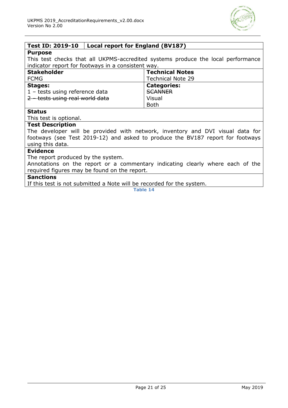

### <span id="page-20-0"></span>**Test ID: 2019-10 Local report for England (BV187)**

#### **Purpose**

This test checks that all UKPMS-accredited systems produce the local performance indicator report for footways in a consistent way.

| <b>Stakeholder</b>              | <b>Technical Notes</b>   |
|---------------------------------|--------------------------|
| <b>FCMG</b>                     | <b>Technical Note 29</b> |
| <b>Stages:</b>                  | <b>Categories:</b>       |
| 1 - tests using reference data  | <b>SCANNER</b>           |
| 2 - tests using real world data | Visual                   |
|                                 | <b>Both</b>              |

#### **Status**

This test is optional.

### **Test Description**

The developer will be provided with network, inventory and DVI visual data for footways (see Test 2019-12) and asked to produce the BV187 report for footways using this data.

#### **Evidence**

The report produced by the system.

Annotations on the report or a commentary indicating clearly where each of the required figures may be found on the report.

#### **Sanctions**

If this test is not submitted a Note will be recorded for the system.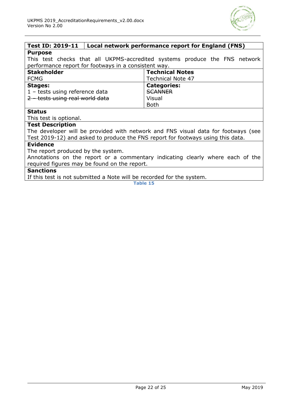

#### <span id="page-21-0"></span>**Test ID: 2019-11 Local network performance report for England (FNS) Purpose**

This test checks that all UKPMS-accredited systems produce the FNS network performance report for footways in a consistent way.

| <b>Stakeholder</b>              | <b>Technical Notes</b>   |
|---------------------------------|--------------------------|
| <b>FCMG</b>                     | <b>Technical Note 47</b> |
| <b>Stages:</b>                  | <b>Categories:</b>       |
| 1 - tests using reference data  | <b>SCANNER</b>           |
| 2 - tests using real world data | Visual                   |
|                                 | <b>Both</b>              |

#### **Status**

This test is optional.

### **Test Description**

The developer will be provided with network and FNS visual data for footways (see Test 2019-12) and asked to produce the FNS report for footways using this data.

#### **Evidence**

The report produced by the system.

Annotations on the report or a commentary indicating clearly where each of the required figures may be found on the report.

#### **Sanctions**

If this test is not submitted a Note will be recorded for the system.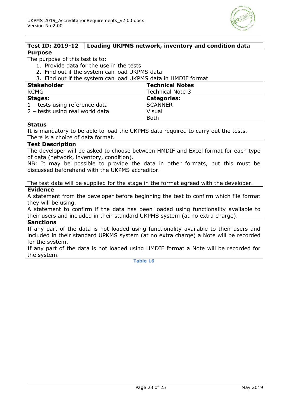

<span id="page-22-0"></span>

| <b>Test ID: 2019-12</b>                                       | Loading UKPMS network, inventory and condition data |
|---------------------------------------------------------------|-----------------------------------------------------|
| <b>Purpose</b>                                                |                                                     |
| The purpose of this test is to:                               |                                                     |
| 1. Provide data for the use in the tests                      |                                                     |
| 2. Find out if the system can load UKPMS data                 |                                                     |
| 3. Find out if the system can load UKPMS data in HMDIF format |                                                     |
| <b>Stakeholder</b>                                            | <b>Technical Notes</b>                              |
| <b>RCMG</b>                                                   | <b>Technical Note 3</b>                             |
| <b>Stages:</b>                                                | <b>Categories:</b>                                  |
| 1 - tests using reference data                                | <b>SCANNER</b>                                      |
| 2 - tests using real world data                               | Visual                                              |
|                                                               | <b>Both</b>                                         |

#### **Status**

It is mandatory to be able to load the UKPMS data required to carry out the tests. There is a choice of data format.

#### **Test Description**

The developer will be asked to choose between HMDIF and Excel format for each type of data (network, inventory, condition).

NB: It may be possible to provide the data in other formats, but this must be discussed beforehand with the UKPMS accreditor.

The test data will be supplied for the stage in the format agreed with the developer. **Evidence**

A statement from the developer before beginning the test to confirm which file format they will be using.

A statement to confirm if the data has been loaded using functionality available to their users and included in their standard UKPMS system (at no extra charge).

#### **Sanctions**

If any part of the data is not loaded using functionality available to their users and included in their standard UPKMS system (at no extra charge) a Note will be recorded for the system.

If any part of the data is not loaded using HMDIF format a Note will be recorded for the system.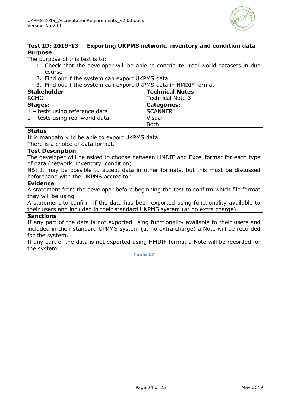

#### <span id="page-23-0"></span>**Test ID: 2019-13 Exporting UKPMS network, inventory and condition data Purpose**

The purpose of this test is to:

- 1. Check that the developer will be able to contribute real-world datasets in due course
- 2. Find out if the system can export UKPMS data

3. Find out if the system can export UKPMS data in HMDIF format

| <b>Stakeholder</b>              | <b>Technical Notes</b>  |
|---------------------------------|-------------------------|
| <b>RCMG</b>                     | <b>Technical Note 3</b> |
| <b>Stages:</b>                  | <b>Categories:</b>      |
| 1 - tests using reference data  | <b>SCANNER</b>          |
| 2 - tests using real world data | Visual                  |
|                                 | <b>Both</b>             |

#### **Status**

It is mandatory to be able to export UKPMS data.

There is a choice of data format.

#### **Test Description**

The developer will be asked to choose between HMDIF and Excel format for each type of data (network, inventory, condition).

NB: It may be possible to accept data in other formats, but this must be discussed beforehand with the UKPMS accreditor.

#### **Evidence**

A statement from the developer before beginning the test to confirm which file format they will be using.

A statement to confirm if the data has been exported using functionality available to their users and included in their standard UKPMS system (at no extra charge).

#### **Sanctions**

If any part of the data is not exported using functionality available to their users and included in their standard UPKMS system (at no extra charge) a Note will be recorded for the system.

<span id="page-23-1"></span>If any part of the data is not exported using HMDIF format a Note will be recorded for the system.